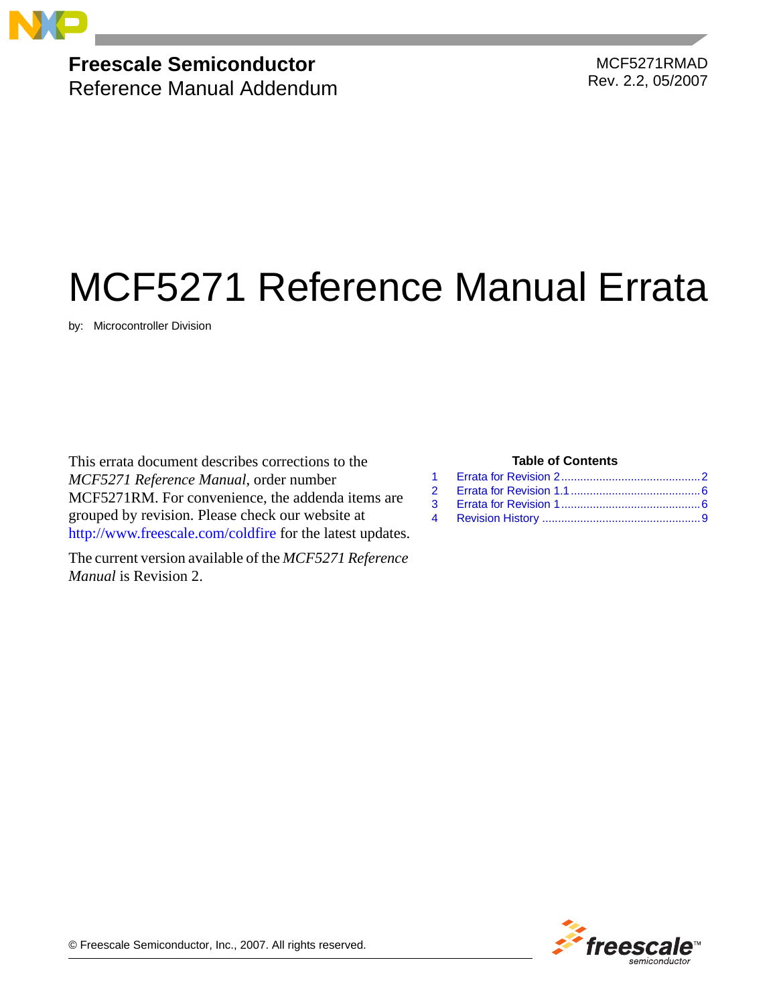

**Freescale Semiconductor** Reference Manual Addendum

MCF5271RMAD Rev. 2.2, 05/2007

# MCF5271 Reference Manual Errata

by: Microcontroller Division

This errata document describes corrections to the **Table of Contents** *MCF5271 Reference Manual*, order number MCF5271RM. For convenience, the addenda items are grouped by revision. Please check our website at [http://www.freescale.com/coldfire](http://www.freescale.com) for the latest updates.

The current version available of the *MCF5271 Reference Manual* is Revision 2.



© Freescale Semiconductor, Inc., 2007. All rights reserved.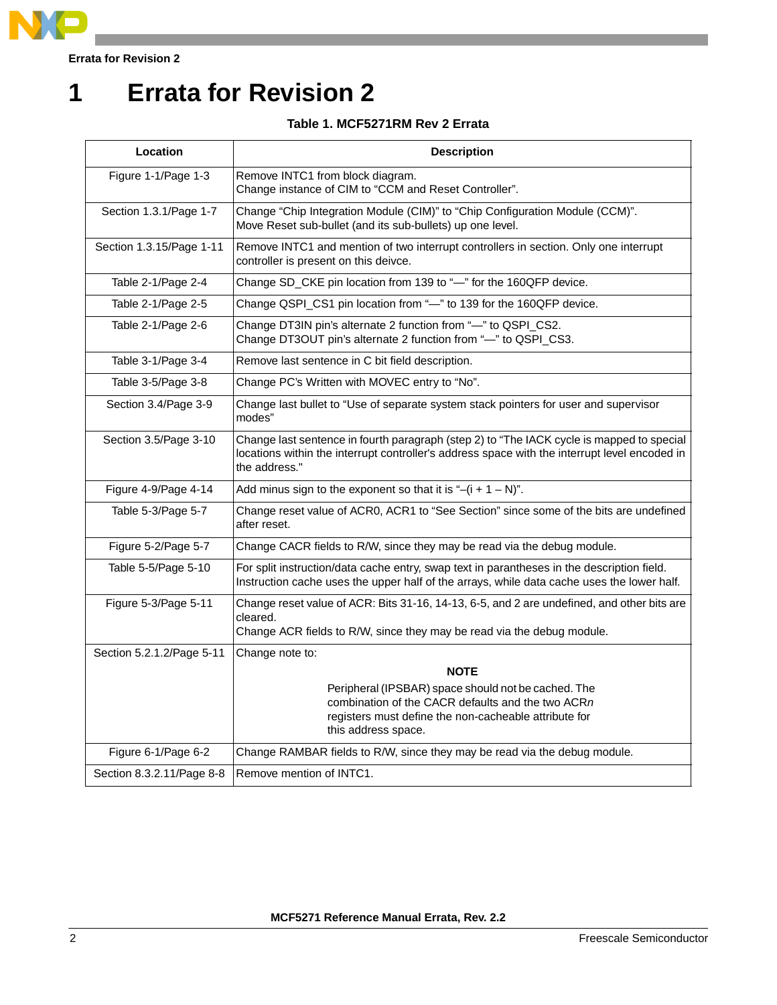

## <span id="page-1-0"></span>**1 Errata for Revision 2**

#### **Table 1. MCF5271RM Rev 2 Errata**

| Location                  | <b>Description</b>                                                                                                                                                                                          |
|---------------------------|-------------------------------------------------------------------------------------------------------------------------------------------------------------------------------------------------------------|
| Figure 1-1/Page 1-3       | Remove INTC1 from block diagram.<br>Change instance of CIM to "CCM and Reset Controller".                                                                                                                   |
| Section 1.3.1/Page 1-7    | Change "Chip Integration Module (CIM)" to "Chip Configuration Module (CCM)".<br>Move Reset sub-bullet (and its sub-bullets) up one level.                                                                   |
| Section 1.3.15/Page 1-11  | Remove INTC1 and mention of two interrupt controllers in section. Only one interrupt<br>controller is present on this deivce.                                                                               |
| Table 2-1/Page 2-4        | Change SD_CKE pin location from 139 to "-" for the 160QFP device.                                                                                                                                           |
| Table $2-1$ /Page $2-5$   | Change QSPI_CS1 pin location from "-" to 139 for the 160QFP device.                                                                                                                                         |
| Table 2-1/Page 2-6        | Change DT3IN pin's alternate 2 function from "-" to QSPI_CS2.<br>Change DT3OUT pin's alternate 2 function from "-" to QSPI_CS3.                                                                             |
| Table 3-1/Page 3-4        | Remove last sentence in C bit field description.                                                                                                                                                            |
| Table 3-5/Page 3-8        | Change PC's Written with MOVEC entry to "No".                                                                                                                                                               |
| Section 3.4/Page 3-9      | Change last bullet to "Use of separate system stack pointers for user and supervisor<br>modes"                                                                                                              |
| Section 3.5/Page 3-10     | Change last sentence in fourth paragraph (step 2) to "The IACK cycle is mapped to special<br>locations within the interrupt controller's address space with the interrupt level encoded in<br>the address." |
| Figure 4-9/Page 4-14      | Add minus sign to the exponent so that it is " $-(i + 1 - N)$ ".                                                                                                                                            |
| Table 5-3/Page 5-7        | Change reset value of ACR0, ACR1 to "See Section" since some of the bits are undefined<br>after reset.                                                                                                      |
| Figure 5-2/Page 5-7       | Change CACR fields to R/W, since they may be read via the debug module.                                                                                                                                     |
| Table 5-5/Page 5-10       | For split instruction/data cache entry, swap text in parantheses in the description field.<br>Instruction cache uses the upper half of the arrays, while data cache uses the lower half.                    |
| Figure 5-3/Page 5-11      | Change reset value of ACR: Bits 31-16, 14-13, 6-5, and 2 are undefined, and other bits are<br>cleared.<br>Change ACR fields to R/W, since they may be read via the debug module.                            |
| Section 5.2.1.2/Page 5-11 | Change note to:                                                                                                                                                                                             |
|                           | <b>NOTE</b>                                                                                                                                                                                                 |
|                           | Peripheral (IPSBAR) space should not be cached. The<br>combination of the CACR defaults and the two ACRn<br>registers must define the non-cacheable attribute for<br>this address space.                    |
| Figure 6-1/Page 6-2       | Change RAMBAR fields to R/W, since they may be read via the debug module.                                                                                                                                   |
| Section 8.3.2.11/Page 8-8 | Remove mention of INTC1.                                                                                                                                                                                    |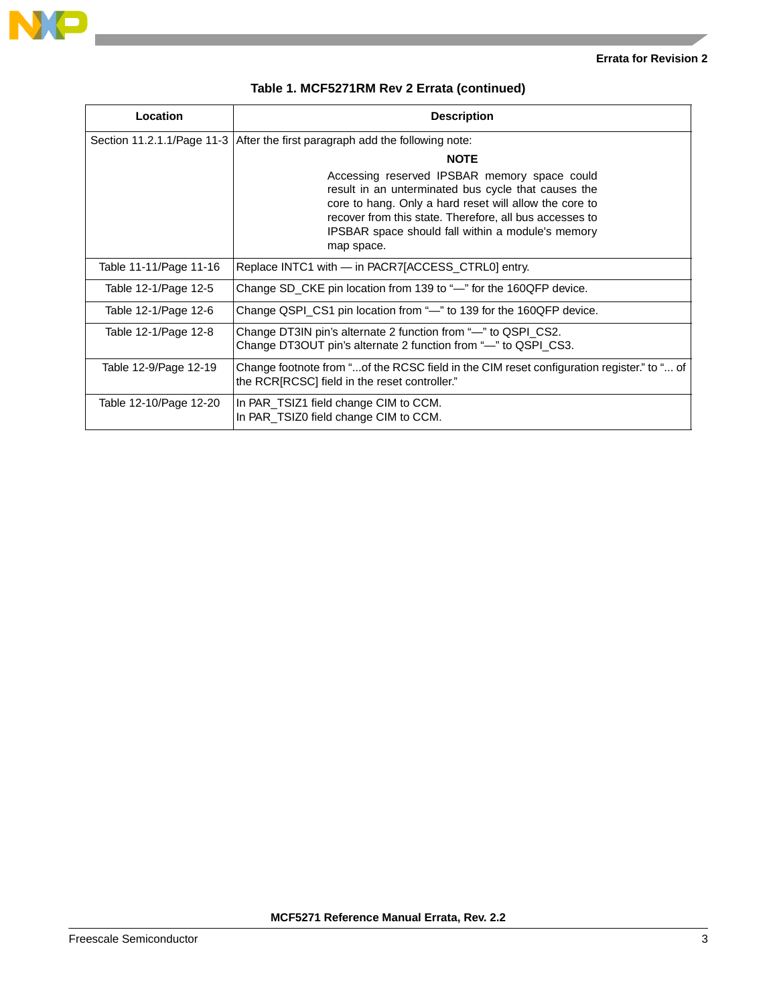

a sa kacamatan ing Kabupatèn Kabupatèn Ing

| Table 1. MCF5271RM Rev 2 Errata (continued) |  |  |
|---------------------------------------------|--|--|
|---------------------------------------------|--|--|

| Location               | <b>Description</b>                                                                                                |
|------------------------|-------------------------------------------------------------------------------------------------------------------|
|                        | Section 11.2.1.1/Page 11-3 After the first paragraph add the following note:                                      |
|                        | <b>NOTE</b>                                                                                                       |
|                        | Accessing reserved IPSBAR memory space could                                                                      |
|                        | result in an unterminated bus cycle that causes the                                                               |
|                        | core to hang. Only a hard reset will allow the core to<br>recover from this state. Therefore, all bus accesses to |
|                        | <b>IPSBAR</b> space should fall within a module's memory                                                          |
|                        | map space.                                                                                                        |
| Table 11-11/Page 11-16 | Replace INTC1 with - in PACR7[ACCESS_CTRL0] entry.                                                                |
| Table 12-1/Page 12-5   | Change SD_CKE pin location from 139 to "-" for the 160QFP device.                                                 |
| Table 12-1/Page 12-6   | Change QSPI_CS1 pin location from "-" to 139 for the 160QFP device.                                               |
| Table 12-1/Page 12-8   | Change DT3IN pin's alternate 2 function from "-" to QSPI_CS2.                                                     |
|                        | Change DT3OUT pin's alternate 2 function from "-" to QSPI CS3.                                                    |
| Table 12-9/Page 12-19  | Change footnote from "of the RCSC field in the CIM reset configuration register." to " of                         |
|                        | the RCR[RCSC] field in the reset controller."                                                                     |
| Table 12-10/Page 12-20 | In PAR_TSIZ1 field change CIM to CCM.                                                                             |
|                        | In PAR_TSIZ0 field change CIM to CCM.                                                                             |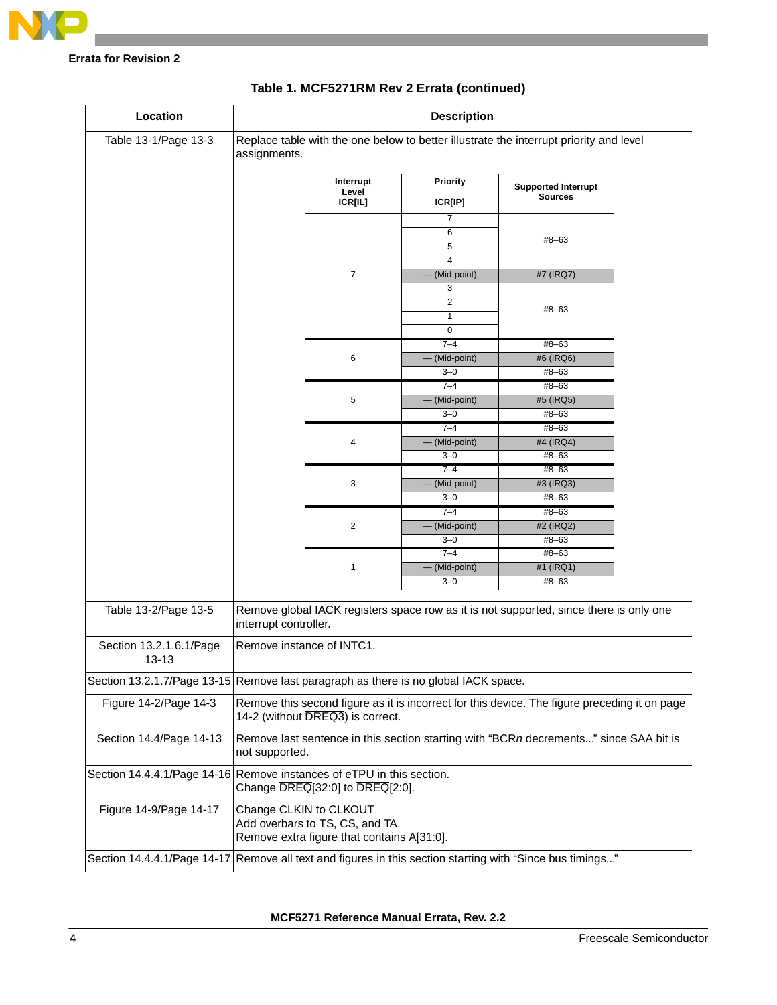

| Location                                                              | <b>Description</b>                                                                                                                |                                 |                                   |                                              |  |
|-----------------------------------------------------------------------|-----------------------------------------------------------------------------------------------------------------------------------|---------------------------------|-----------------------------------|----------------------------------------------|--|
| Table 13-1/Page 13-3                                                  | Replace table with the one below to better illustrate the interrupt priority and level<br>assignments.                            |                                 |                                   |                                              |  |
|                                                                       |                                                                                                                                   | Interrupt<br>Level<br>ICR[IL]   | Priority<br>ICR[IP]               | <b>Supported Interrupt</b><br><b>Sources</b> |  |
|                                                                       |                                                                                                                                   |                                 | 7<br>6<br>5<br>4                  | #8-63                                        |  |
|                                                                       |                                                                                                                                   | $\overline{7}$                  | (Mid-point)                       | #7 (IRQ7)                                    |  |
|                                                                       |                                                                                                                                   |                                 | 3<br>$\overline{\mathbf{c}}$<br>1 | #8-63                                        |  |
|                                                                       |                                                                                                                                   |                                 | 0                                 |                                              |  |
|                                                                       |                                                                                                                                   |                                 | $7 - 4$                           | $#8 - 63$                                    |  |
|                                                                       |                                                                                                                                   | 6                               | (Mid-point)                       | #6 (IRQ6)                                    |  |
|                                                                       |                                                                                                                                   |                                 | $3 - 0$                           | $#8 - 63$                                    |  |
|                                                                       |                                                                                                                                   |                                 | $7 - 4$                           | $#8 - 63$                                    |  |
|                                                                       |                                                                                                                                   | 5                               | - (Mid-point)                     | #5 (IRQ5)                                    |  |
|                                                                       |                                                                                                                                   |                                 | $3 - 0$                           | $#8 - 63$                                    |  |
|                                                                       |                                                                                                                                   |                                 | $7 - 4$                           | $#8 - 63$                                    |  |
|                                                                       |                                                                                                                                   | 4                               | (Mid-point)                       | #4 (IRQ4)                                    |  |
|                                                                       |                                                                                                                                   |                                 | $3 - 0$                           | $#8 - 63$                                    |  |
|                                                                       |                                                                                                                                   | 3                               | $7 - 4$                           | $#8 - 63$                                    |  |
|                                                                       |                                                                                                                                   |                                 | - (Mid-point)<br>$3 - 0$          | #3 (IRQ3)<br>#8-63                           |  |
|                                                                       |                                                                                                                                   |                                 | $7 - 4$                           | $#8 - 63$                                    |  |
|                                                                       |                                                                                                                                   | $\overline{2}$                  | (Mid-point)                       | #2 (IRQ2)                                    |  |
|                                                                       |                                                                                                                                   |                                 | $3 - 0$                           | #8-63                                        |  |
|                                                                       |                                                                                                                                   |                                 | $7 - 4$                           | $#8 - 63$                                    |  |
|                                                                       |                                                                                                                                   | 1                               | - (Mid-point)                     | #1 (IRQ1)                                    |  |
|                                                                       |                                                                                                                                   |                                 | $3 - 0$                           | #8-63                                        |  |
| Table 13-2/Page 13-5                                                  | Remove global IACK registers space row as it is not supported, since there is only one<br>interrupt controller.                   |                                 |                                   |                                              |  |
| Section 13.2.1.6.1/Page<br>$13 - 13$                                  | Remove instance of INTC1.                                                                                                         |                                 |                                   |                                              |  |
|                                                                       | Section 13.2.1.7/Page 13-15 Remove last paragraph as there is no global IACK space.                                               |                                 |                                   |                                              |  |
| Figure 14-2/Page 14-3                                                 | Remove this second figure as it is incorrect for this device. The figure preceding it on page<br>14-2 (without DREQ3) is correct. |                                 |                                   |                                              |  |
| Section 14.4/Page 14-13                                               | Remove last sentence in this section starting with "BCRn decrements" since SAA bit is<br>not supported.                           |                                 |                                   |                                              |  |
| Section 14.4.4.1/Page 14-16 Remove instances of eTPU in this section. |                                                                                                                                   | Change DREQ[32:0] to DREQ[2:0]. |                                   |                                              |  |
| Figure 14-9/Page 14-17                                                | Change CLKIN to CLKOUT<br>Add overbars to TS, CS, and TA.<br>Remove extra figure that contains A[31:0].                           |                                 |                                   |                                              |  |
| Section 14.4.4.1/Page 14-17                                           | Remove all text and figures in this section starting with "Since bus timings"                                                     |                                 |                                   |                                              |  |

#### **Table 1. MCF5271RM Rev 2 Errata (continued)**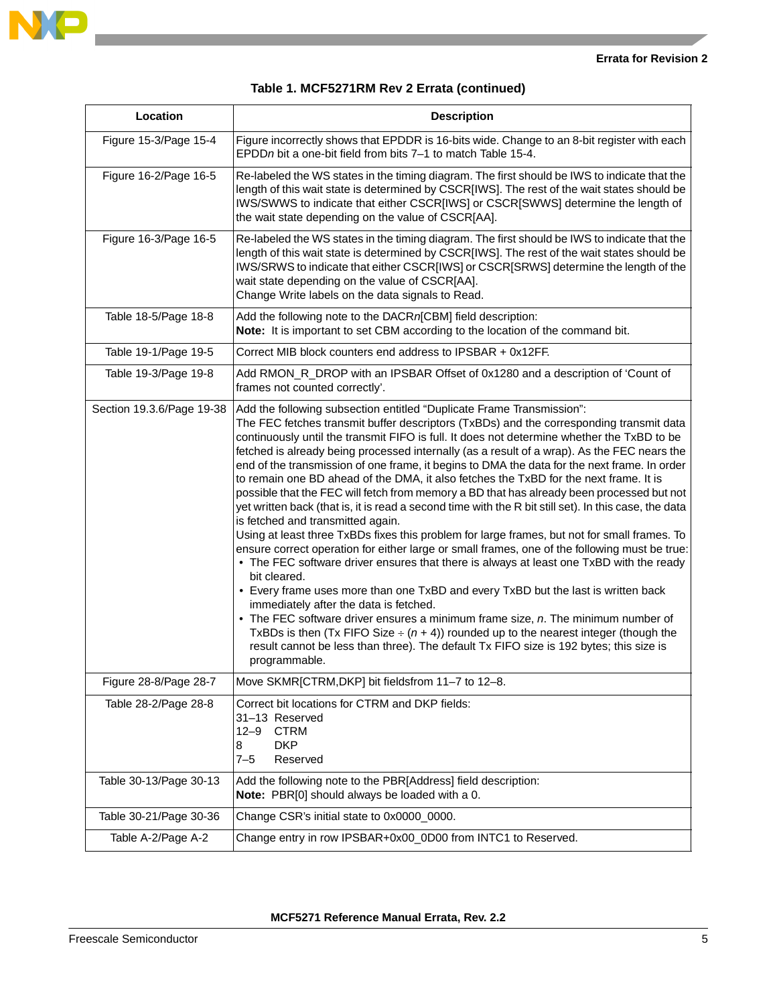a sa kacamatan ing Kabupatèn Kabupatèn Ing



| Location                  | <b>Description</b>                                                                                                                                                                                                                                                                                                                                                                                                                                                                                                                                                                                                                                                                                                                                                                                                                                                                                                                                                                                                                                                                                                                                                                                                                                                                                                                                                                                                                                                                                                                                   |
|---------------------------|------------------------------------------------------------------------------------------------------------------------------------------------------------------------------------------------------------------------------------------------------------------------------------------------------------------------------------------------------------------------------------------------------------------------------------------------------------------------------------------------------------------------------------------------------------------------------------------------------------------------------------------------------------------------------------------------------------------------------------------------------------------------------------------------------------------------------------------------------------------------------------------------------------------------------------------------------------------------------------------------------------------------------------------------------------------------------------------------------------------------------------------------------------------------------------------------------------------------------------------------------------------------------------------------------------------------------------------------------------------------------------------------------------------------------------------------------------------------------------------------------------------------------------------------------|
| Figure 15-3/Page 15-4     | Figure incorrectly shows that EPDDR is 16-bits wide. Change to an 8-bit register with each<br>EPDDn bit a one-bit field from bits 7-1 to match Table 15-4.                                                                                                                                                                                                                                                                                                                                                                                                                                                                                                                                                                                                                                                                                                                                                                                                                                                                                                                                                                                                                                                                                                                                                                                                                                                                                                                                                                                           |
| Figure 16-2/Page 16-5     | Re-labeled the WS states in the timing diagram. The first should be IWS to indicate that the<br>length of this wait state is determined by CSCR[IWS]. The rest of the wait states should be<br>IWS/SWWS to indicate that either CSCR[IWS] or CSCR[SWWS] determine the length of<br>the wait state depending on the value of CSCR[AA].                                                                                                                                                                                                                                                                                                                                                                                                                                                                                                                                                                                                                                                                                                                                                                                                                                                                                                                                                                                                                                                                                                                                                                                                                |
| Figure 16-3/Page 16-5     | Re-labeled the WS states in the timing diagram. The first should be IWS to indicate that the<br>length of this wait state is determined by CSCR[IWS]. The rest of the wait states should be<br>IWS/SRWS to indicate that either CSCR[IWS] or CSCR[SRWS] determine the length of the<br>wait state depending on the value of CSCR[AA].<br>Change Write labels on the data signals to Read.                                                                                                                                                                                                                                                                                                                                                                                                                                                                                                                                                                                                                                                                                                                                                                                                                                                                                                                                                                                                                                                                                                                                                            |
| Table 18-5/Page 18-8      | Add the following note to the DACRn[CBM] field description:<br>Note: It is important to set CBM according to the location of the command bit.                                                                                                                                                                                                                                                                                                                                                                                                                                                                                                                                                                                                                                                                                                                                                                                                                                                                                                                                                                                                                                                                                                                                                                                                                                                                                                                                                                                                        |
| Table 19-1/Page 19-5      | Correct MIB block counters end address to IPSBAR + 0x12FF.                                                                                                                                                                                                                                                                                                                                                                                                                                                                                                                                                                                                                                                                                                                                                                                                                                                                                                                                                                                                                                                                                                                                                                                                                                                                                                                                                                                                                                                                                           |
| Table 19-3/Page 19-8      | Add RMON_R_DROP with an IPSBAR Offset of 0x1280 and a description of 'Count of<br>frames not counted correctly'.                                                                                                                                                                                                                                                                                                                                                                                                                                                                                                                                                                                                                                                                                                                                                                                                                                                                                                                                                                                                                                                                                                                                                                                                                                                                                                                                                                                                                                     |
| Section 19.3.6/Page 19-38 | Add the following subsection entitled "Duplicate Frame Transmission":<br>The FEC fetches transmit buffer descriptors (TxBDs) and the corresponding transmit data<br>continuously until the transmit FIFO is full. It does not determine whether the TxBD to be<br>fetched is already being processed internally (as a result of a wrap). As the FEC nears the<br>end of the transmission of one frame, it begins to DMA the data for the next frame. In order<br>to remain one BD ahead of the DMA, it also fetches the TxBD for the next frame. It is<br>possible that the FEC will fetch from memory a BD that has already been processed but not<br>yet written back (that is, it is read a second time with the R bit still set). In this case, the data<br>is fetched and transmitted again.<br>Using at least three TxBDs fixes this problem for large frames, but not for small frames. To<br>ensure correct operation for either large or small frames, one of the following must be true:<br>• The FEC software driver ensures that there is always at least one TxBD with the ready<br>bit cleared.<br>• Every frame uses more than one TxBD and every TxBD but the last is written back<br>immediately after the data is fetched.<br>$\bullet$ The FEC software driver ensures a minimum frame size, $n$ . The minimum number of<br>TxBDs is then (Tx FIFO Size $\div (n + 4)$ ) rounded up to the nearest integer (though the<br>result cannot be less than three). The default Tx FIFO size is 192 bytes; this size is<br>programmable. |
| Figure 28-8/Page 28-7     | Move SKMR[CTRM, DKP] bit fieldsfrom 11-7 to 12-8.                                                                                                                                                                                                                                                                                                                                                                                                                                                                                                                                                                                                                                                                                                                                                                                                                                                                                                                                                                                                                                                                                                                                                                                                                                                                                                                                                                                                                                                                                                    |
| Table 28-2/Page 28-8      | Correct bit locations for CTRM and DKP fields:<br>31-13 Reserved<br>$12 - 9$<br><b>CTRM</b><br><b>DKP</b><br>8<br>$7 - 5$<br>Reserved                                                                                                                                                                                                                                                                                                                                                                                                                                                                                                                                                                                                                                                                                                                                                                                                                                                                                                                                                                                                                                                                                                                                                                                                                                                                                                                                                                                                                |
| Table 30-13/Page 30-13    | Add the following note to the PBR[Address] field description:<br>Note: PBR[0] should always be loaded with a 0.                                                                                                                                                                                                                                                                                                                                                                                                                                                                                                                                                                                                                                                                                                                                                                                                                                                                                                                                                                                                                                                                                                                                                                                                                                                                                                                                                                                                                                      |
| Table 30-21/Page 30-36    | Change CSR's initial state to 0x0000_0000.                                                                                                                                                                                                                                                                                                                                                                                                                                                                                                                                                                                                                                                                                                                                                                                                                                                                                                                                                                                                                                                                                                                                                                                                                                                                                                                                                                                                                                                                                                           |
| Table A-2/Page A-2        | Change entry in row IPSBAR+0x00_0D00 from INTC1 to Reserved.                                                                                                                                                                                                                                                                                                                                                                                                                                                                                                                                                                                                                                                                                                                                                                                                                                                                                                                                                                                                                                                                                                                                                                                                                                                                                                                                                                                                                                                                                         |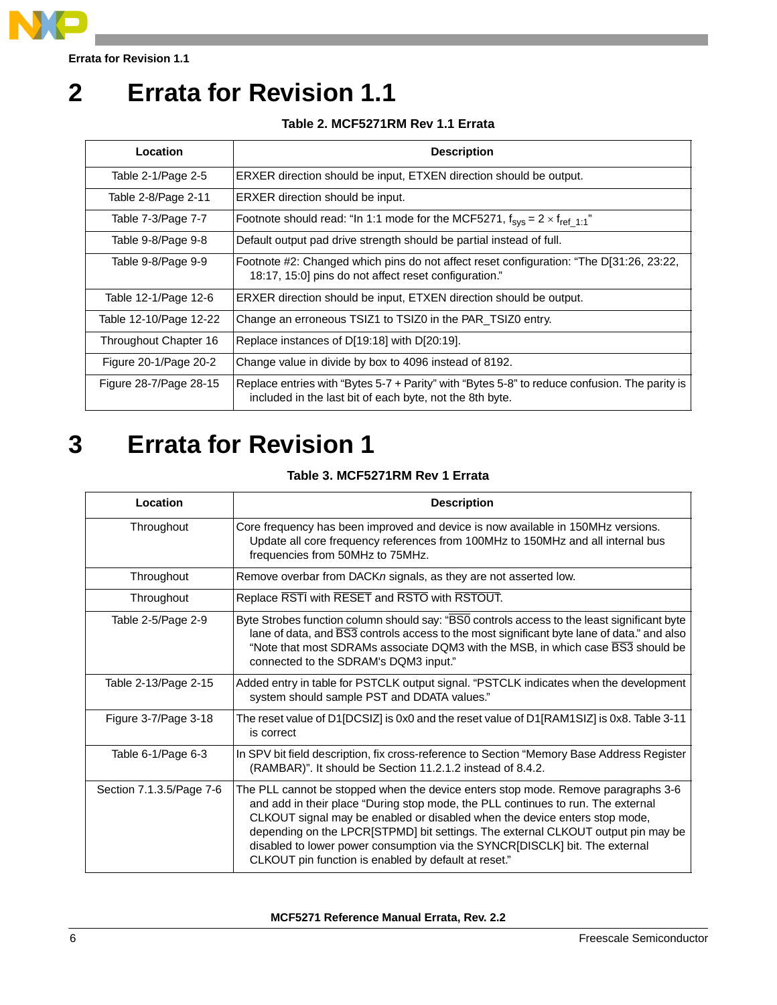

### <span id="page-5-0"></span>**2 Errata for Revision 1.1**

#### **Table 2. MCF5271RM Rev 1.1 Errata**

| Location               | <b>Description</b>                                                                                                                                        |
|------------------------|-----------------------------------------------------------------------------------------------------------------------------------------------------------|
| Table 2-1/Page 2-5     | ERXER direction should be input, ETXEN direction should be output.                                                                                        |
| Table 2-8/Page 2-11    | ERXER direction should be input.                                                                                                                          |
| Table 7-3/Page 7-7     | Footnote should read: "In 1:1 mode for the MCF5271, $f_{svs} = 2 \times f_{ref 1:1}$ "                                                                    |
| Table 9-8/Page 9-8     | Default output pad drive strength should be partial instead of full.                                                                                      |
| Table 9-8/Page 9-9     | Footnote #2: Changed which pins do not affect reset configuration: "The D[31:26, 23:22,<br>18:17, 15:0] pins do not affect reset configuration."          |
| Table 12-1/Page 12-6   | ERXER direction should be input, ETXEN direction should be output.                                                                                        |
| Table 12-10/Page 12-22 | Change an erroneous TSIZ1 to TSIZ0 in the PAR TSIZ0 entry.                                                                                                |
| Throughout Chapter 16  | Replace instances of D[19:18] with D[20:19].                                                                                                              |
| Figure 20-1/Page 20-2  | Change value in divide by box to 4096 instead of 8192.                                                                                                    |
| Figure 28-7/Page 28-15 | Replace entries with "Bytes 5-7 + Parity" with "Bytes 5-8" to reduce confusion. The parity is<br>included in the last bit of each byte, not the 8th byte. |

### <span id="page-5-1"></span>**3 Errata for Revision 1**

#### **Table 3. MCF5271RM Rev 1 Errata**

| Location                 | <b>Description</b>                                                                                                                                                                                                                                                                                                                                                                                                                                                             |
|--------------------------|--------------------------------------------------------------------------------------------------------------------------------------------------------------------------------------------------------------------------------------------------------------------------------------------------------------------------------------------------------------------------------------------------------------------------------------------------------------------------------|
| Throughout               | Core frequency has been improved and device is now available in 150MHz versions.<br>Update all core frequency references from 100MHz to 150MHz and all internal bus<br>frequencies from 50MHz to 75MHz.                                                                                                                                                                                                                                                                        |
| Throughout               | Remove overbar from DACKn signals, as they are not asserted low.                                                                                                                                                                                                                                                                                                                                                                                                               |
| Throughout               | Replace RSTI with RESET and RSTO with RSTOUT.                                                                                                                                                                                                                                                                                                                                                                                                                                  |
| Table 2-5/Page 2-9       | Byte Strobes function column should say: "BSO controls access to the least significant byte<br>lane of data, and $\overline{BS3}$ controls access to the most significant byte lane of data." and also<br>"Note that most SDRAMs associate DQM3 with the MSB, in which case BS3 should be<br>connected to the SDRAM's DQM3 input."                                                                                                                                             |
| Table 2-13/Page 2-15     | Added entry in table for PSTCLK output signal. "PSTCLK indicates when the development<br>system should sample PST and DDATA values."                                                                                                                                                                                                                                                                                                                                           |
| Figure 3-7/Page 3-18     | The reset value of D1[DCSIZ] is 0x0 and the reset value of D1[RAM1SIZ] is 0x8. Table 3-11<br>is correct                                                                                                                                                                                                                                                                                                                                                                        |
| Table 6-1/Page 6-3       | In SPV bit field description, fix cross-reference to Section "Memory Base Address Register<br>(RAMBAR)". It should be Section 11.2.1.2 instead of 8.4.2.                                                                                                                                                                                                                                                                                                                       |
| Section 7.1.3.5/Page 7-6 | The PLL cannot be stopped when the device enters stop mode. Remove paragraphs 3-6<br>and add in their place "During stop mode, the PLL continues to run. The external<br>CLKOUT signal may be enabled or disabled when the device enters stop mode,<br>depending on the LPCR[STPMD] bit settings. The external CLKOUT output pin may be<br>disabled to lower power consumption via the SYNCR[DISCLK] bit. The external<br>CLKOUT pin function is enabled by default at reset." |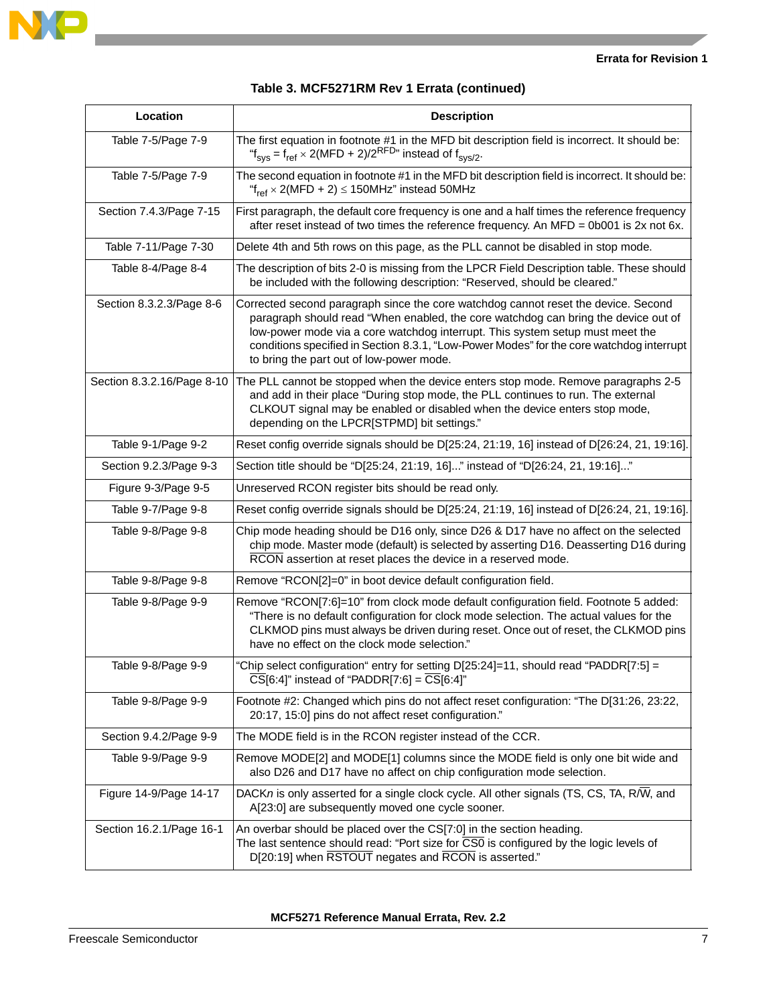

a sa kacamatan ing Kabupatèn Kabupatèn Ing

| Location                   | <b>Description</b>                                                                                                                                                                                                                                                                                                                                                                                |
|----------------------------|---------------------------------------------------------------------------------------------------------------------------------------------------------------------------------------------------------------------------------------------------------------------------------------------------------------------------------------------------------------------------------------------------|
| Table 7-5/Page 7-9         | The first equation in footnote #1 in the MFD bit description field is incorrect. It should be:<br>"f <sub>sys</sub> = f <sub>ref</sub> $\times$ 2(MFD + 2)/2 <sup>RFD</sup> " instead of f <sub>sys/2</sub> .                                                                                                                                                                                     |
| Table 7-5/Page 7-9         | The second equation in footnote #1 in the MFD bit description field is incorrect. It should be:<br>"f <sub>ref</sub> $\times$ 2(MFD + 2) $\leq$ 150MHz" instead 50MHz                                                                                                                                                                                                                             |
| Section 7.4.3/Page 7-15    | First paragraph, the default core frequency is one and a half times the reference frequency<br>after reset instead of two times the reference frequency. An MFD = $0b001$ is 2x not 6x.                                                                                                                                                                                                           |
| Table 7-11/Page 7-30       | Delete 4th and 5th rows on this page, as the PLL cannot be disabled in stop mode.                                                                                                                                                                                                                                                                                                                 |
| Table 8-4/Page 8-4         | The description of bits 2-0 is missing from the LPCR Field Description table. These should<br>be included with the following description: "Reserved, should be cleared."                                                                                                                                                                                                                          |
| Section 8.3.2.3/Page 8-6   | Corrected second paragraph since the core watchdog cannot reset the device. Second<br>paragraph should read "When enabled, the core watchdog can bring the device out of<br>low-power mode via a core watchdog interrupt. This system setup must meet the<br>conditions specified in Section 8.3.1, "Low-Power Modes" for the core watchdog interrupt<br>to bring the part out of low-power mode. |
| Section 8.3.2.16/Page 8-10 | The PLL cannot be stopped when the device enters stop mode. Remove paragraphs 2-5<br>and add in their place "During stop mode, the PLL continues to run. The external<br>CLKOUT signal may be enabled or disabled when the device enters stop mode,<br>depending on the LPCR[STPMD] bit settings."                                                                                                |
| Table 9-1/Page 9-2         | Reset config override signals should be D[25:24, 21:19, 16] instead of D[26:24, 21, 19:16].                                                                                                                                                                                                                                                                                                       |
| Section 9.2.3/Page 9-3     | Section title should be "D[25:24, 21:19, 16]" instead of "D[26:24, 21, 19:16]"                                                                                                                                                                                                                                                                                                                    |
| Figure 9-3/Page 9-5        | Unreserved RCON register bits should be read only.                                                                                                                                                                                                                                                                                                                                                |
| Table 9-7/Page 9-8         | Reset config override signals should be D[25:24, 21:19, 16] instead of D[26:24, 21, 19:16].                                                                                                                                                                                                                                                                                                       |
| Table 9-8/Page 9-8         | Chip mode heading should be D16 only, since D26 & D17 have no affect on the selected<br>chip mode. Master mode (default) is selected by asserting D16. Deasserting D16 during<br>RCON assertion at reset places the device in a reserved mode.                                                                                                                                                    |
| Table 9-8/Page 9-8         | Remove "RCON[2]=0" in boot device default configuration field.                                                                                                                                                                                                                                                                                                                                    |
| Table 9-8/Page 9-9         | Remove "RCON[7:6]=10" from clock mode default configuration field. Footnote 5 added:<br>"There is no default configuration for clock mode selection. The actual values for the<br>CLKMOD pins must always be driven during reset. Once out of reset, the CLKMOD pins<br>have no effect on the clock mode selection."                                                                              |
| Table 9-8/Page 9-9         | "Chip select configuration" entry for setting D[25:24]=11, should read "PADDR[7:5] =<br>$\overline{CS}[6:4]$ " instead of "PADDR[7:6] = $\overline{CS}[6:4]$ "                                                                                                                                                                                                                                    |
| Table 9-8/Page 9-9         | Footnote #2: Changed which pins do not affect reset configuration: "The D[31:26, 23:22,<br>20:17, 15:0] pins do not affect reset configuration."                                                                                                                                                                                                                                                  |
| Section 9.4.2/Page 9-9     | The MODE field is in the RCON register instead of the CCR.                                                                                                                                                                                                                                                                                                                                        |
| Table 9-9/Page 9-9         | Remove MODE[2] and MODE[1] columns since the MODE field is only one bit wide and<br>also D26 and D17 have no affect on chip configuration mode selection.                                                                                                                                                                                                                                         |
| Figure 14-9/Page 14-17     | DACKn is only asserted for a single clock cycle. All other signals (TS, CS, TA, R/W, and<br>A[23:0] are subsequently moved one cycle sooner.                                                                                                                                                                                                                                                      |
| Section 16.2.1/Page 16-1   | An overbar should be placed over the CS[7:0] in the section heading.<br>The last sentence should read: "Port size for $\overline{\text{CS0}}$ is configured by the logic levels of<br>D[20:19] when RSTOUT negates and RCON is asserted."                                                                                                                                                         |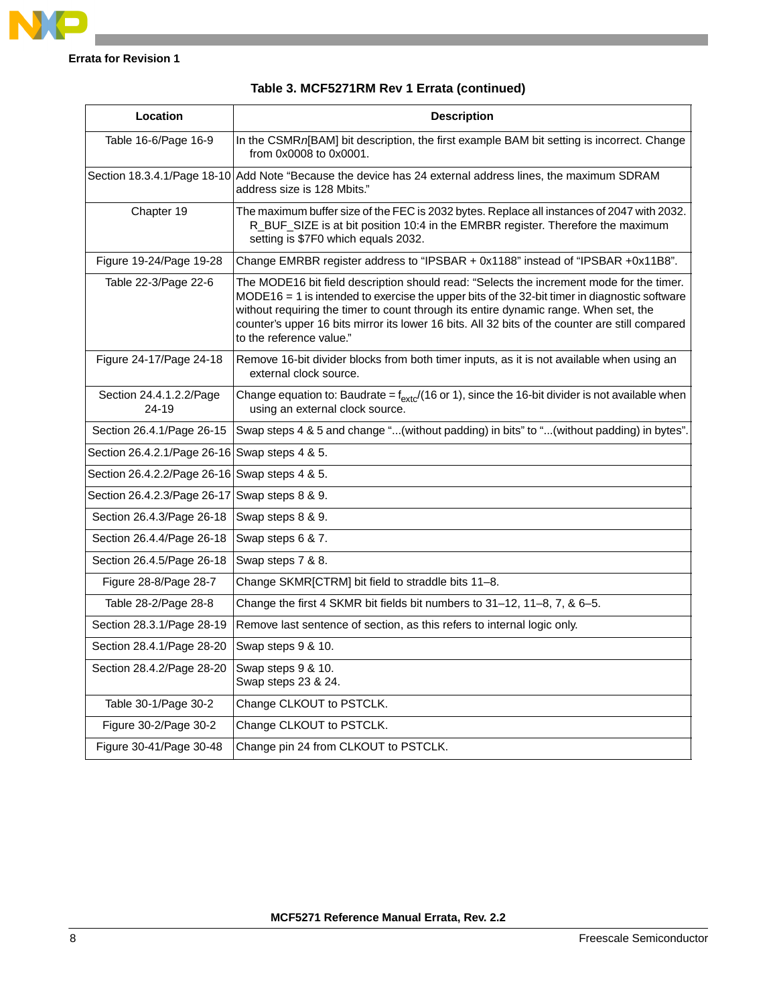

| Location                                      | <b>Description</b>                                                                                                                                                                                                                                                                                                                                                                                                |
|-----------------------------------------------|-------------------------------------------------------------------------------------------------------------------------------------------------------------------------------------------------------------------------------------------------------------------------------------------------------------------------------------------------------------------------------------------------------------------|
| Table 16-6/Page 16-9                          | In the CSMRn[BAM] bit description, the first example BAM bit setting is incorrect. Change<br>from 0x0008 to 0x0001.                                                                                                                                                                                                                                                                                               |
|                                               | Section 18.3.4.1/Page 18-10 Add Note "Because the device has 24 external address lines, the maximum SDRAM<br>address size is 128 Mbits."                                                                                                                                                                                                                                                                          |
| Chapter 19                                    | The maximum buffer size of the FEC is 2032 bytes. Replace all instances of 2047 with 2032.<br>R_BUF_SIZE is at bit position 10:4 in the EMRBR register. Therefore the maximum<br>setting is \$7F0 which equals 2032.                                                                                                                                                                                              |
| Figure 19-24/Page 19-28                       | Change EMRBR register address to "IPSBAR + 0x1188" instead of "IPSBAR +0x11B8".                                                                                                                                                                                                                                                                                                                                   |
| Table 22-3/Page 22-6                          | The MODE16 bit field description should read: "Selects the increment mode for the timer.<br>MODE16 $=$ 1 is intended to exercise the upper bits of the 32-bit timer in diagnostic software<br>without requiring the timer to count through its entire dynamic range. When set, the<br>counter's upper 16 bits mirror its lower 16 bits. All 32 bits of the counter are still compared<br>to the reference value." |
| Figure 24-17/Page 24-18                       | Remove 16-bit divider blocks from both timer inputs, as it is not available when using an<br>external clock source.                                                                                                                                                                                                                                                                                               |
| Section 24.4.1.2.2/Page<br>24-19              | Change equation to: Baudrate = $f_{extc}/(16$ or 1), since the 16-bit divider is not available when<br>using an external clock source.                                                                                                                                                                                                                                                                            |
| Section 26.4.1/Page 26-15                     | Swap steps 4 & 5 and change "(without padding) in bits" to "(without padding) in bytes".                                                                                                                                                                                                                                                                                                                          |
| Section 26.4.2.1/Page 26-16                   | Swap steps 4 & 5.                                                                                                                                                                                                                                                                                                                                                                                                 |
| Section 26.4.2.2/Page 26-16 Swap steps 4 & 5. |                                                                                                                                                                                                                                                                                                                                                                                                                   |
| Section 26.4.2.3/Page 26-17 Swap steps 8 & 9. |                                                                                                                                                                                                                                                                                                                                                                                                                   |
| Section 26.4.3/Page 26-18                     | Swap steps 8 & 9.                                                                                                                                                                                                                                                                                                                                                                                                 |
| Section 26.4.4/Page 26-18                     | Swap steps 6 & 7.                                                                                                                                                                                                                                                                                                                                                                                                 |
| Section 26.4.5/Page 26-18                     | Swap steps 7 & 8.                                                                                                                                                                                                                                                                                                                                                                                                 |
| Figure 28-8/Page 28-7                         | Change SKMR[CTRM] bit field to straddle bits 11-8.                                                                                                                                                                                                                                                                                                                                                                |
| Table 28-2/Page 28-8                          | Change the first 4 SKMR bit fields bit numbers to 31-12, 11-8, 7, & 6-5.                                                                                                                                                                                                                                                                                                                                          |
| Section 28.3.1/Page 28-19                     | Remove last sentence of section, as this refers to internal logic only.                                                                                                                                                                                                                                                                                                                                           |
| Section 28.4.1/Page 28-20                     | Swap steps 9 & 10.                                                                                                                                                                                                                                                                                                                                                                                                |
| Section 28.4.2/Page 28-20                     | Swap steps 9 & 10.<br>Swap steps 23 & 24.                                                                                                                                                                                                                                                                                                                                                                         |
| Table 30-1/Page 30-2                          | Change CLKOUT to PSTCLK.                                                                                                                                                                                                                                                                                                                                                                                          |
| Figure 30-2/Page 30-2                         | Change CLKOUT to PSTCLK.                                                                                                                                                                                                                                                                                                                                                                                          |
| Figure 30-41/Page 30-48                       | Change pin 24 from CLKOUT to PSTCLK.                                                                                                                                                                                                                                                                                                                                                                              |

### **Table 3. MCF5271RM Rev 1 Errata (continued)**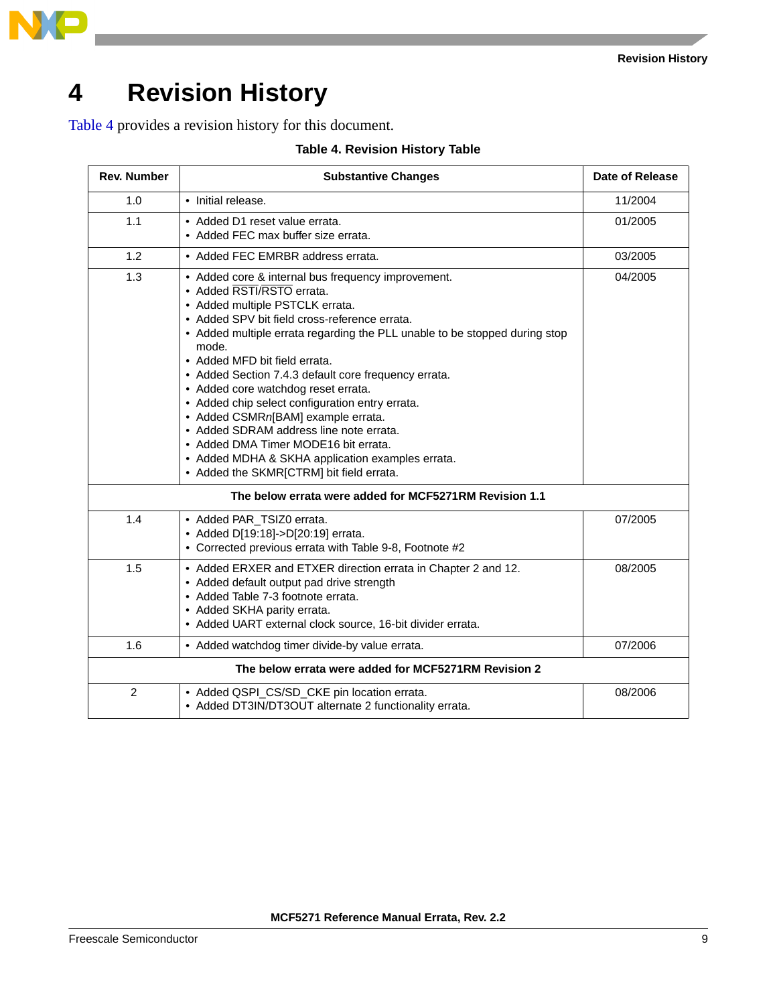

### <span id="page-8-0"></span>**4 Revision History**

<span id="page-8-1"></span>[Table 4](#page-8-1) provides a revision history for this document.

#### **Table 4. Revision History Table**

| <b>Rev. Number</b>                                     | <b>Substantive Changes</b>                                                                                                                                                                                                                                                                                                                                                                                                                                                                                                                                                                                                                                             | Date of Release |  |
|--------------------------------------------------------|------------------------------------------------------------------------------------------------------------------------------------------------------------------------------------------------------------------------------------------------------------------------------------------------------------------------------------------------------------------------------------------------------------------------------------------------------------------------------------------------------------------------------------------------------------------------------------------------------------------------------------------------------------------------|-----------------|--|
| 1.0                                                    | • Initial release.                                                                                                                                                                                                                                                                                                                                                                                                                                                                                                                                                                                                                                                     | 11/2004         |  |
| 1.1                                                    | • Added D1 reset value errata.<br>• Added FEC max buffer size errata.                                                                                                                                                                                                                                                                                                                                                                                                                                                                                                                                                                                                  | 01/2005         |  |
| 1.2                                                    | • Added FEC EMRBR address errata.                                                                                                                                                                                                                                                                                                                                                                                                                                                                                                                                                                                                                                      | 03/2005         |  |
| 1.3                                                    | • Added core & internal bus frequency improvement.<br>• Added RSTI/RSTO errata.<br>• Added multiple PSTCLK errata.<br>• Added SPV bit field cross-reference errata.<br>• Added multiple errata regarding the PLL unable to be stopped during stop<br>mode.<br>• Added MFD bit field errata.<br>• Added Section 7.4.3 default core frequency errata.<br>• Added core watchdog reset errata.<br>• Added chip select configuration entry errata.<br>• Added CSMRn[BAM] example errata.<br>• Added SDRAM address line note errata.<br>• Added DMA Timer MODE16 bit errata.<br>• Added MDHA & SKHA application examples errata.<br>• Added the SKMR[CTRM] bit field errata. | 04/2005         |  |
| The below errata were added for MCF5271RM Revision 1.1 |                                                                                                                                                                                                                                                                                                                                                                                                                                                                                                                                                                                                                                                                        |                 |  |
| 1.4                                                    | • Added PAR_TSIZ0 errata.<br>• Added D[19:18]->D[20:19] errata.<br>• Corrected previous errata with Table 9-8, Footnote #2                                                                                                                                                                                                                                                                                                                                                                                                                                                                                                                                             | 07/2005         |  |
| 1.5                                                    | • Added ERXER and ETXER direction errata in Chapter 2 and 12.<br>• Added default output pad drive strength<br>• Added Table 7-3 footnote errata.<br>• Added SKHA parity errata.<br>• Added UART external clock source, 16-bit divider errata.                                                                                                                                                                                                                                                                                                                                                                                                                          | 08/2005         |  |
| 1.6                                                    | • Added watchdog timer divide-by value errata.                                                                                                                                                                                                                                                                                                                                                                                                                                                                                                                                                                                                                         | 07/2006         |  |
| The below errata were added for MCF5271RM Revision 2   |                                                                                                                                                                                                                                                                                                                                                                                                                                                                                                                                                                                                                                                                        |                 |  |
| $\overline{c}$                                         | • Added QSPI_CS/SD_CKE pin location errata.<br>• Added DT3IN/DT3OUT alternate 2 functionality errata.                                                                                                                                                                                                                                                                                                                                                                                                                                                                                                                                                                  | 08/2006         |  |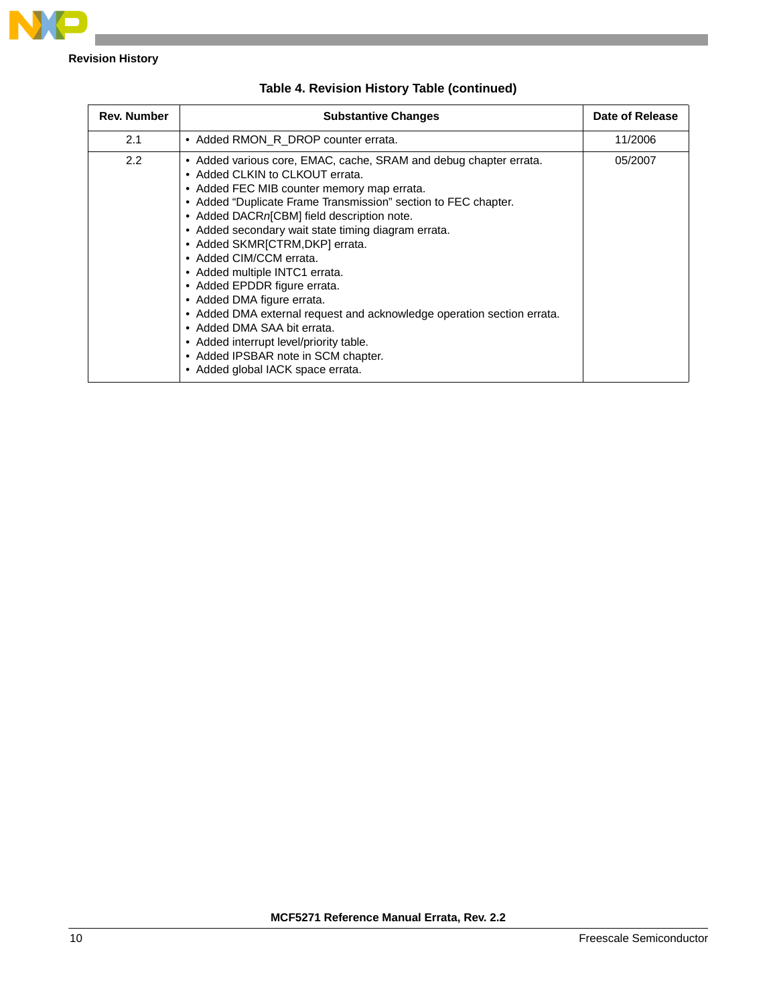

#### **Revision History**

| <b>Rev. Number</b> | <b>Substantive Changes</b>                                                                                                                                                                                                                                                                                                                                                                                                                                                                                                                                                                                                                                                                                              | Date of Release |
|--------------------|-------------------------------------------------------------------------------------------------------------------------------------------------------------------------------------------------------------------------------------------------------------------------------------------------------------------------------------------------------------------------------------------------------------------------------------------------------------------------------------------------------------------------------------------------------------------------------------------------------------------------------------------------------------------------------------------------------------------------|-----------------|
| 2.1                | • Added RMON_R_DROP counter errata.                                                                                                                                                                                                                                                                                                                                                                                                                                                                                                                                                                                                                                                                                     | 11/2006         |
| 2.2                | • Added various core, EMAC, cache, SRAM and debug chapter errata.<br>• Added CLKIN to CLKOUT errata.<br>• Added FEC MIB counter memory map errata.<br>• Added "Duplicate Frame Transmission" section to FEC chapter.<br>• Added DACRn[CBM] field description note.<br>• Added secondary wait state timing diagram errata.<br>• Added SKMR[CTRM, DKP] errata.<br>• Added CIM/CCM errata.<br>• Added multiple INTC1 errata.<br>• Added EPDDR figure errata.<br>• Added DMA figure errata.<br>• Added DMA external request and acknowledge operation section errata.<br>• Added DMA SAA bit errata.<br>• Added interrupt level/priority table.<br>• Added IPSBAR note in SCM chapter.<br>• Added global IACK space errata. | 05/2007         |

#### **Table 4. Revision History Table (continued)**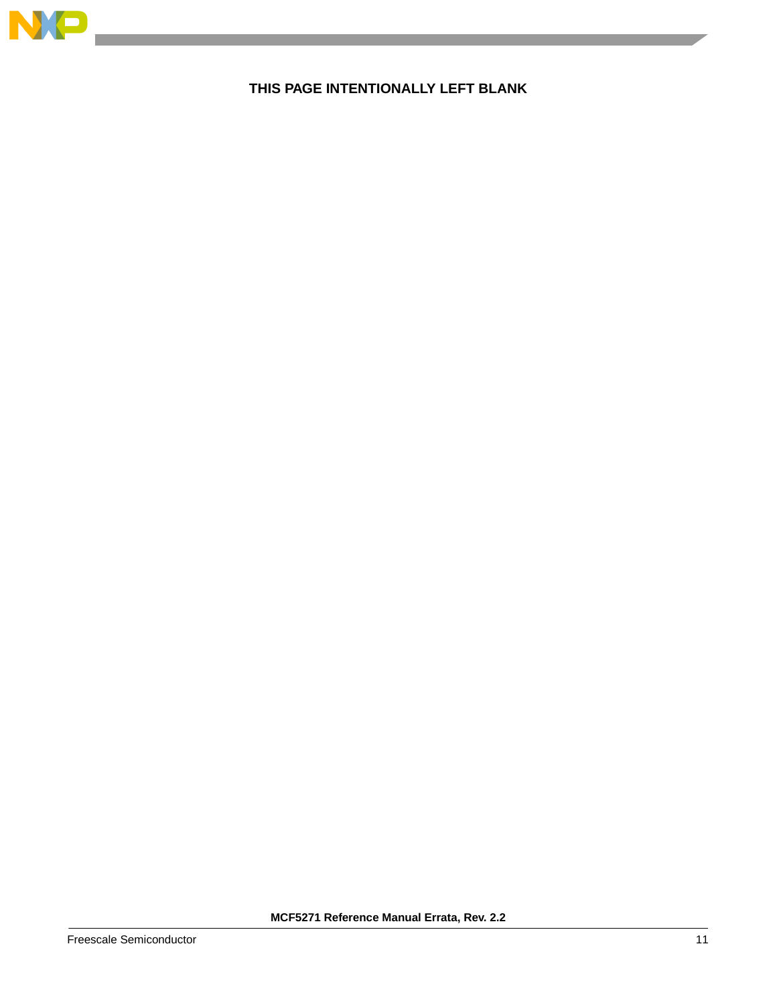

#### **THIS PAGE INTENTIONALLY LEFT BLANK**